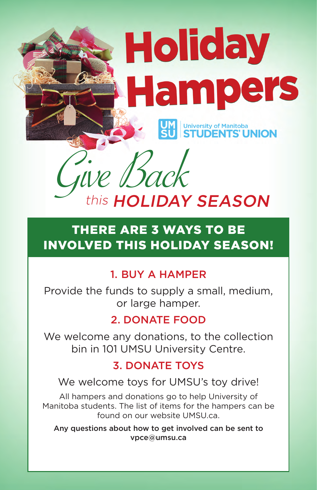### 1. BUY A HAMPER

Provide the funds to supply a small, medium, or large hamper.

### 2. DONATE FOOD

We welcome any donations, to the collection bin in 101 UMSU University Centre.

#### 3. DONATE TOYS

#### We welcome toys for UMSU's toy drive!

All hampers and donations go to help University of Manitoba students. The list of items for the hampers can be found on our website UMSU.ca.

Any questions about how to get involved can be sent to vpce@umsu.ca

# Holiday Hampers University of Manitoba<br>**STUDENTS' UNION**

## THERE ARE 3 WAYS TO BE INVOLVED THIS HOLIDAY SEASON!

This HOLIDAY SEASON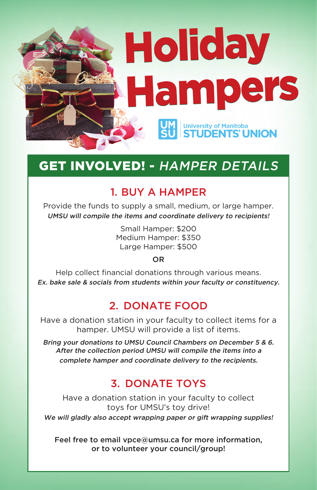# Holiday Hampers University of Manitoba<br>**STUDENTS' UNION**

### GET INVOLVED! - HAMPER DETAILS

### 1. BUY A HAMPER

Provide the funds to supply a small, medium, or large hamper. UMSU will compile the items and coordinate delivery to recipients!

> Small Hamper: \$200 Medium Hamper: \$350 Large Hamper: \$500

#### **OR**

Help collect financial donations through various means. Ex. bake sale & socials from students within your faculty or constituency.

Have a donation station in your faculty to collect toys for UMSU's toy drive! We will gladly also accept wrapping paper or gift wrapping supplies!

### 2. DONATE FOOD

Have a donation station in your faculty to collect items for a hamper. UMSU will provide a list of items.

Bring your donations to UMSU Council Chambers on December 5 & 6. After the collection period UMSU will compile the items into a complete hamper and coordinate delivery to the recipients.

### 3. DONATE TOYS

Feel free to email vpce@umsu.ca for more information, or to volunteer your council/group!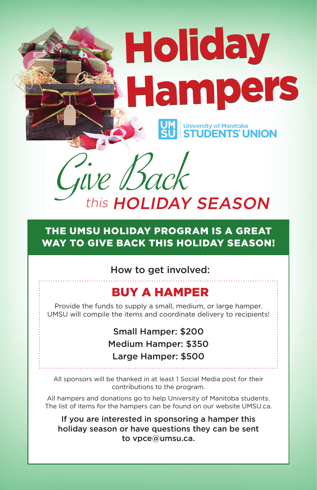How to get involved:

### BUY A HAMPER

Provide the funds to supply a small, medium, or large hamper. UMSU will compile the items and coordinate delivery to recipients!

> Small Hamper: \$200 Medium Hamper: \$350 Large Hamper: \$500

All sponsors will be thanked in at least 1 Social Media post for their contributions to the program.

All hampers and donations go to help University of Manitoba students. The list of items for the hampers can be found on our website UMSU.ca.

If you are interested in sponsoring a hamper this holiday season or have questions they can be sent to vpce@umsu.ca.

### THE UMSU HOLIDAY PROGRAM IS A GREAT WAY TO GIVE BACK THIS HOLIDAY SEASON!

# Holiday Hampers University of Manitoba<br>STUDENTS' UNION

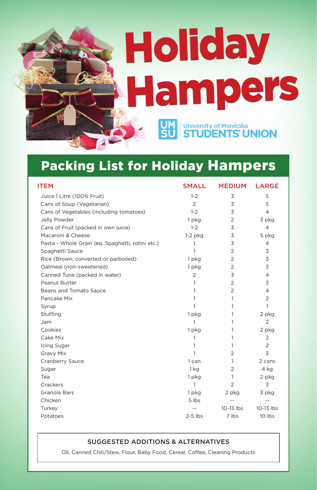| <b>ITEM</b>                                      | <b>SMALL</b>   | <b>MEDIUM</b>  | <b>LARGE</b>   |
|--------------------------------------------------|----------------|----------------|----------------|
| Juice 1 Litre (100% Fruit)                       | $1 - 2$        | 3              | 5              |
| Cans of Soup (Vegetarian)                        | 2              | 3              | 5              |
| Cans of Vegetables (including tomatoes)          | $1 - 2$        | 3              | 4              |
| Jelly Powder                                     | 1 pkg          | 2              | 3 pkg          |
| Cans of Fruit (packed in own juice)              | $1 - 2$        | 3              | 4              |
| Macaroni & Cheese                                | $1-2$ pkg      | $\overline{3}$ | 5 pkg          |
| Pasta - Whole Grain (eq. Spaghetti, rotini etc.) |                | 3              | 4              |
| Spaghetti Sauce                                  |                | $\overline{2}$ | $\overline{3}$ |
| Rice (Brown, converted or parboiled)             | 1 pkg          | 2              | $\overline{3}$ |
| Oatmeal (non-sweetened)                          | 1 pkg          | 2              | 3              |
| Canned Tuna (packed in water)                    | $\overline{2}$ | 3              | 4              |
| Peanut Butter                                    |                | 2              | 3              |
| <b>Beans and Tomato Sauce</b>                    |                | 2              | 4              |
| Pancake Mix                                      |                |                | $\overline{2}$ |
| Syrup                                            |                |                |                |
| <b>Stuffing</b>                                  | 1 pkg          |                | 2 pkg          |
| Jam                                              |                |                | 2              |
| Cookies                                          | 1 pkg          |                | 2 pkg          |
| Cake Mix                                         |                |                | $\overline{2}$ |
| Icing Sugar                                      |                |                | $\overline{2}$ |
| <b>Gravy Mix</b>                                 |                | 2              | 3              |
| <b>Cranberry Sauce</b>                           | can            |                | 2 cans         |
| Sugar                                            | 1 kg           | $\overline{2}$ | 4 kg           |
| Tea                                              | 1 pkg          |                | 2 pkg          |
| Crackers                                         | 1              | 2              | $\overline{3}$ |
| <b>Granola Bars</b>                              | 1 pkg          | 2 pkg          | 3 pkg          |
| Chicken                                          | 5 lbs          |                |                |
| Turkey                                           |                | 10-13 lbs      | 10-13 lbs      |
| Potatoes                                         | $2-5$ lbs      | 7 lbs          | 10 lbs         |

#### SUGGESTED ADDITIONS & ALTERNATIVES

Oil, Canned Chili/Stew, Flour, Baby Food, Cereal, Coffee, Cleaning Products

# Holiday Hampers **UM**<br>SU University of Manitoba<br>**STUDENTS' UNION**

### Packing List for Holiday Hampers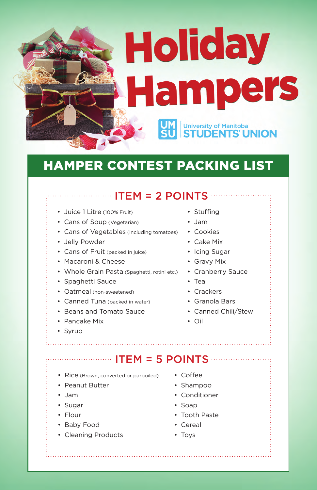- Juice 1 Litre (100% Fruit)
- Cans of Soup (Vegetarian)
- Cans of Vegetables (including tomatoes) Cookies
- Jelly Powder
- Cans of Fruit (packed in juice) Icing Sugar
- Macaroni & Cheese
- Whole Grain Pasta (Spaghetti, rotini etc.) Cranberry Sauce
- Spaghetti Sauce
- Oatmeal (non-sweetened)
- Canned Tuna (packed in water)
- Beans and Tomato Sauce
- Pancake Mix
- Syrup

- Rice (Brown, converted or parboiled)
- Peanut Butter
- Jam
- Sugar
- Flour
- Baby Food
- Cleaning Products
- Stuffing
- Jam
- 
- Cake Mix
- 
- Gravy Mix
- 
- Tea
- Crackers
- Granola Bars
- Canned Chili/Stew
- Oil

# Holiday Hampers University of Manitoba<br>**STUDENTS' UNION**

### HAMPER CONTEST PACKING LIST

### ....................... ITEM = 2 POINTS ...................

### ITEM = 5 POINTS

- Coffee
- Shampoo
- Conditioner
- Soap
- Tooth Paste
- Cereal
- Toys